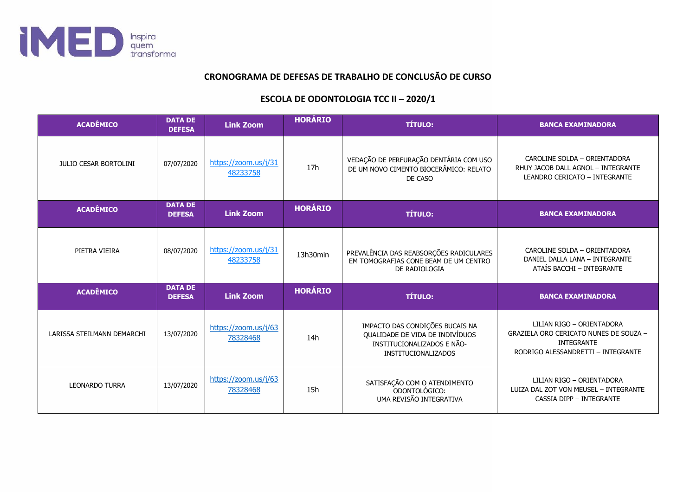

## **CRONOGRAMA DE DEFESAS DE TRABALHO DE CONCLUSÃO DE CURSO**

## **ESCOLA DE ODONTOLOGIA TCC II – 2020/1**

| <b>ACADÊMICO</b>             | <b>DATA DE</b><br><b>DEFESA</b> | <b>Link Zoom</b>                 | <b>HORÁRIO</b>  | <b>TÍTULO:</b>                                                                                                          | <b>BANCA EXAMINADORA</b>                                                                                                       |
|------------------------------|---------------------------------|----------------------------------|-----------------|-------------------------------------------------------------------------------------------------------------------------|--------------------------------------------------------------------------------------------------------------------------------|
| <b>JULIO CESAR BORTOLINI</b> | 07/07/2020                      | https://zoom.us/j/31<br>48233758 | 17 <sub>h</sub> | VEDAÇÃO DE PERFURAÇÃO DENTÁRIA COM USO<br>DE UM NOVO CIMENTO BIOCERÂMICO: RELATO<br>DE CASO                             | CAROLINE SOLDA - ORIENTADORA<br>RHUY JACOB DALL AGNOL - INTEGRANTE<br>LEANDRO CERICATO - INTEGRANTE                            |
| <b>ACADÊMICO</b>             | <b>DATA DE</b><br><b>DEFESA</b> | <b>Link Zoom</b>                 | <b>HORÁRIO</b>  | <b>TÍTULO:</b>                                                                                                          | <b>BANCA EXAMINADORA</b>                                                                                                       |
| PIETRA VIEIRA                | 08/07/2020                      | https://zoom.us/j/31<br>48233758 | 13h30min        | PREVALÊNCIA DAS REABSORÇÕES RADICULARES<br>EM TOMOGRAFIAS CONE BEAM DE UM CENTRO<br>DE RADIOLOGIA                       | CAROLINE SOLDA - ORIENTADORA<br>DANIEL DALLA LANA - INTEGRANTE<br>ATAÍS BACCHI - INTEGRANTE                                    |
| <b>ACADÊMICO</b>             | <b>DATA DE</b><br><b>DEFESA</b> | <b>Link Zoom</b>                 | <b>HORÁRIO</b>  | <b>TÍTULO:</b>                                                                                                          | <b>BANCA EXAMINADORA</b>                                                                                                       |
| LARISSA STEILMANN DEMARCHI   | 13/07/2020                      | https://zoom.us/j/63<br>78328468 | 14h             | IMPACTO DAS CONDIÇÕES BUCAIS NA<br>QUALIDADE DE VIDA DE INDIVÍDUOS<br>INSTITUCIONALIZADOS E NÃO-<br>INSTITUCIONALIZADOS | LILIAN RIGO - ORIENTADORA<br>GRAZIELA ORO CERICATO NUNES DE SOUZA -<br><b>INTEGRANTE</b><br>RODRIGO ALESSANDRETTI - INTEGRANTE |
| <b>LEONARDO TURRA</b>        | 13/07/2020                      | https://zoom.us/j/63<br>78328468 | 15h             | SATISFAÇÃO COM O ATENDIMENTO<br>ODONTOLÓGICO:<br>UMA REVISÃO INTEGRATIVA                                                | LILIAN RIGO - ORIENTADORA<br>LUIZA DAL ZOT VON MEUSEL - INTEGRANTE<br>CASSIA DIPP - INTEGRANTE                                 |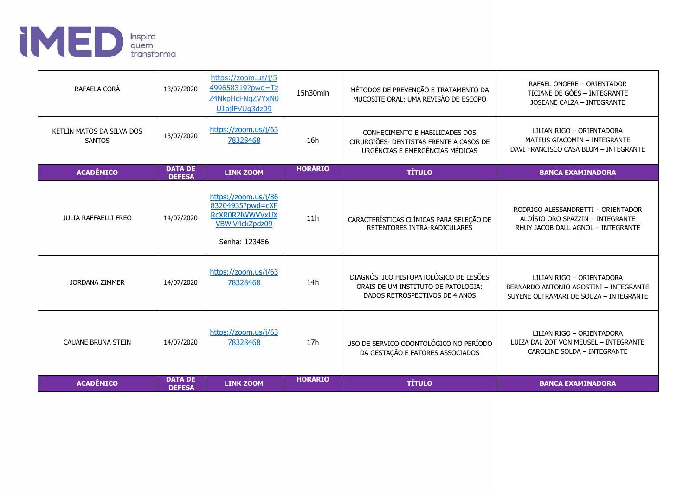

| RAFAELA CORÁ                               | 13/07/2020                      | https://zoom.us/j/5<br>499658319?pwd=Tz<br>Z4NkpHcFNqZVYxN0<br>U1ajlFVUq3dz09                  | 15h30min       | MÉTODOS DE PREVENÇÃO E TRATAMENTO DA<br>MUCOSITE ORAL: UMA REVISÃO DE ESCOPO                                   | RAFAEL ONOFRE - ORIENTADOR<br>TICIANE DE GÓES - INTEGRANTE<br>JOSEANE CALZA - INTEGRANTE                      |
|--------------------------------------------|---------------------------------|------------------------------------------------------------------------------------------------|----------------|----------------------------------------------------------------------------------------------------------------|---------------------------------------------------------------------------------------------------------------|
| KETLIN MATOS DA SILVA DOS<br><b>SANTOS</b> | 13/07/2020                      | https://zoom.us/j/63<br>78328468                                                               | 16h            | CONHECIMENTO E HABILIDADES DOS<br>CIRURGIÕES- DENTISTAS FRENTE A CASOS DE<br>URGÊNCIAS E EMERGÊNCIAS MÉDICAS   | LILIAN RIGO - ORIENTADORA<br><b>MATEUS GIACOMIN - INTEGRANTE</b><br>DAVI FRANCISCO CASA BLUM - INTEGRANTE     |
| <b>ACADÊMICO</b>                           | <b>DATA DE</b><br><b>DEFESA</b> | <b>LINK ZOOM</b>                                                                               | <b>HORÁRIO</b> | <b>TÍTULO</b>                                                                                                  | <b>BANCA EXAMINADORA</b>                                                                                      |
| <b>JULIA RAFFAELLI FREO</b>                | 14/07/2020                      | https://zoom.us/j/86<br>83204935?pwd=cXF<br>RCXR0R2IWWVVxUX<br>VBWIV4ckZpdz09<br>Senha: 123456 | 11h            | CARACTERÍSTICAS CLÍNICAS PARA SELEÇÃO DE<br>RETENTORES INTRA-RADICULARES                                       | RODRIGO ALESSANDRETTI - ORIENTADOR<br>ALOÍSIO ORO SPAZZIN - INTEGRANTE<br>RHUY JACOB DALL AGNOL - INTEGRANTE  |
| <b>JORDANA ZIMMER</b>                      | 14/07/2020                      | https://zoom.us/j/63<br>78328468                                                               | 14h            | DIAGNÓSTICO HISTOPATOLÓGICO DE LESÕES<br>ORAIS DE UM INSTITUTO DE PATOLOGIA:<br>DADOS RETROSPECTIVOS DE 4 ANOS | LILIAN RIGO - ORIENTADORA<br>BERNARDO ANTONIO AGOSTINI - INTEGRANTE<br>SUYENE OLTRAMARI DE SOUZA - INTEGRANTE |
| <b>CAUANE BRUNA STEIN</b>                  | 14/07/2020                      | https://zoom.us/j/63<br>78328468                                                               | 17h            | USO DE SERVIÇO ODONTOLÓGICO NO PERÍODO<br>DA GESTAÇÃO E FATORES ASSOCIADOS                                     | LILIAN RIGO - ORIENTADORA<br>LUIZA DAL ZOT VON MEUSEL - INTEGRANTE<br>CAROLINE SOLDA - INTEGRANTE             |
| <b>ACADÊMICO</b>                           | <b>DATA DE</b><br><b>DEFESA</b> | <b>LINK ZOOM</b>                                                                               | <b>HORÁRIO</b> | <b>TÍTULO</b>                                                                                                  | <b>BANCA EXAMINADORA</b>                                                                                      |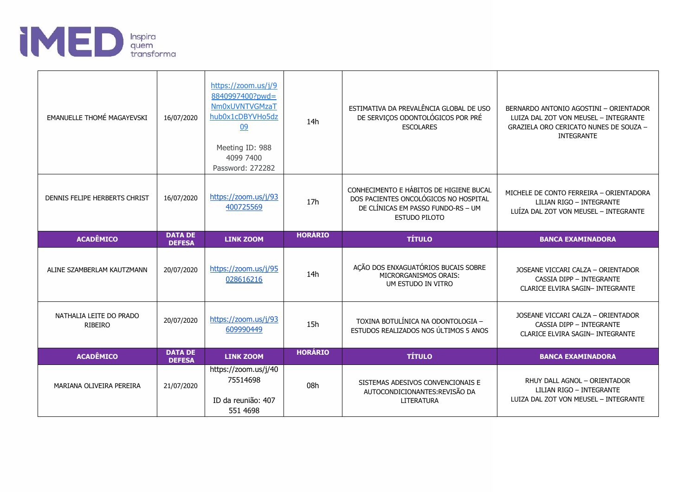

| EMANUELLE THOMÉ MAGAYEVSKI                | 16/07/2020                      | https://zoom.us/j/9<br>8840997400?pwd=<br>Nm0xUVNTVGMzaT<br>hub0x1cDBYVHo5dz<br>09<br>Meeting ID: 988<br>4099 7400<br>Password: 272282 | 14h            | ESTIMATIVA DA PREVALÊNCIA GLOBAL DE USO<br>DE SERVIÇOS ODONTOLÓGICOS POR PRÉ<br><b>ESCOLARES</b>                                               | BERNARDO ANTONIO AGOSTINI - ORIENTADOR<br>LUIZA DAL ZOT VON MEUSEL - INTEGRANTE<br>GRAZIELA ORO CERICATO NUNES DE SOUZA -<br>INTEGRANTE |
|-------------------------------------------|---------------------------------|----------------------------------------------------------------------------------------------------------------------------------------|----------------|------------------------------------------------------------------------------------------------------------------------------------------------|-----------------------------------------------------------------------------------------------------------------------------------------|
| DENNIS FELIPE HERBERTS CHRIST             | 16/07/2020                      | https://zoom.us/j/93<br>400725569                                                                                                      | 17h            | CONHECIMENTO E HÁBITOS DE HIGIENE BUCAL<br>DOS PACIENTES ONCOLÓGICOS NO HOSPITAL<br>DE CLÍNICAS EM PASSO FUNDO-RS - UM<br><b>ESTUDO PILOTO</b> | MICHELE DE CONTO FERREIRA - ORIENTADORA<br>LILIAN RIGO - INTEGRANTE<br>LUÍZA DAL ZOT VON MEUSEL - INTEGRANTE                            |
| <b>ACADÊMICO</b>                          | <b>DATA DE</b><br><b>DEFESA</b> | <b>LINK ZOOM</b>                                                                                                                       | <b>HORÁRIO</b> | <b>TÍTULO</b>                                                                                                                                  | <b>BANCA EXAMINADORA</b>                                                                                                                |
|                                           |                                 |                                                                                                                                        |                |                                                                                                                                                |                                                                                                                                         |
| ALINE SZAMBERLAM KAUTZMANN                | 20/07/2020                      | https://zoom.us/j/95<br>028616216                                                                                                      | 14h            | AÇÃO DOS ENXAGUATÓRIOS BUCAIS SOBRE<br>MICRORGANISMOS ORAIS:<br>UM ESTUDO IN VITRO                                                             | JOSEANE VICCARI CALZA - ORIENTADOR<br>CASSIA DIPP - INTEGRANTE<br>CLARICE ELVIRA SAGIN- INTEGRANTE                                      |
| NATHALIA LEITE DO PRADO<br><b>RIBEIRO</b> | 20/07/2020                      | https://zoom.us/j/93<br>609990449                                                                                                      | 15h            | TOXINA BOTULÍNICA NA ODONTOLOGIA -<br>ESTUDOS REALIZADOS NOS ÚLTIMOS 5 ANOS                                                                    | JOSEANE VICCARI CALZA - ORIENTADOR<br><b>CASSIA DIPP - INTEGRANTE</b><br><b>CLARICE ELVIRA SAGIN- INTEGRANTE</b>                        |
| <b>ACADÊMICO</b>                          | <b>DATA DE</b><br><b>DEFESA</b> | <b>LINK ZOOM</b>                                                                                                                       | <b>HORÁRIO</b> | <b>TÍTULO</b>                                                                                                                                  | <b>BANCA EXAMINADORA</b>                                                                                                                |